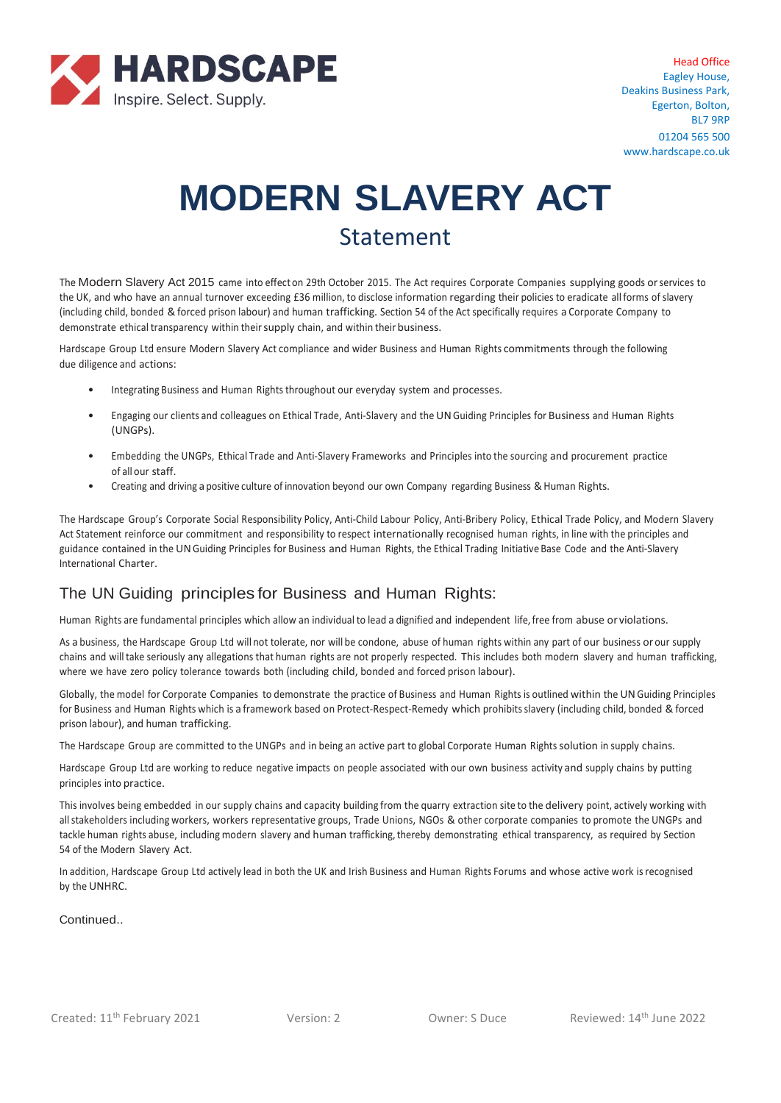

Head Office Eagley House, Deakins Business Park, Egerton, Bolton, BL7 9RP 01204 565 500 www.hardscape.co.uk

# **MODERN SLAVERY ACT** Statement

The Modern Slavery Act 2015 came into effecton 29th October 2015. The Act requires Corporate Companies supplying goods orservices to the UK, and who have an annual turnover exceeding £36 million, to disclose information regarding their policies to eradicate all forms of slavery (including child, bonded &forced prison labour) and human trafficking. Section 54 of the Act specifically requires a Corporate Company to demonstrate ethical transparency within their supply chain, and within their business.

Hardscape Group Ltd ensure Modern Slavery Act compliance and wider Business and Human Rights commitments through the following due diligence and actions:

- Integrating Business and Human Rightsthroughout our everyday system and processes.
- Engaging our clients and colleagues on Ethical Trade, Anti-Slavery and the UNGuiding Principles for Business and Human Rights (UNGPs).
- Embedding the UNGPs, Ethical Trade and Anti-Slavery Frameworks and Principles into the sourcing and procurement practice of all our staff.
- Creating and driving a positive culture of innovation beyond our own Company regarding Business & Human Rights.

The Hardscape Group's Corporate Social Responsibility Policy, Anti-Child Labour Policy, Anti-Bribery Policy, Ethical Trade Policy, and Modern Slavery Act Statement reinforce our commitment and responsibility to respect internationally recognised human rights, in line with the principles and guidance contained in the UNGuiding Principles for Business and Human Rights, the Ethical Trading Initiative Base Code and the Anti-Slavery International Charter.

### The UN Guiding principles for Business and Human Rights:

Human Rights are fundamental principles which allow an individual to lead a dignified and independent life,free from abuse or violations.

As a business, the Hardscape Group Ltd will not tolerate, nor will be condone, abuse of human rights within any part of our business orour supply chains and willtake seriously any allegations that human rights are not properly respected. This includes both modern slavery and human trafficking, where we have zero policy tolerance towards both (including child, bonded and forced prison labour).

Globally, the model for Corporate Companies to demonstrate the practice of Business and Human Rights is outlined within the UNGuiding Principles for Business and Human Rights which is a framework based on Protect-Respect-Remedy which prohibits slavery (including child, bonded & forced prison labour), and human trafficking.

The Hardscape Group are committed to the UNGPs and in being an active part to global Corporate Human Rights solution in supply chains.

Hardscape Group Ltd are working to reduce negative impacts on people associated with our own business activity and supply chains by putting principles into practice.

This involves being embedded in our supply chains and capacity building from the quarry extraction site to the delivery point, actively working with allstakeholders including workers, workers representative groups, Trade Unions, NGOs & other corporate companies to promote the UNGPs and tackle human rights abuse, including modern slavery and human trafficking, thereby demonstrating ethical transparency, as required by Section 54 of the Modern Slavery Act.

In addition, Hardscape Group Ltd actively lead in both the UK and Irish Business and Human Rights Forums and whose active work isrecognised by the UNHRC.

Continued..